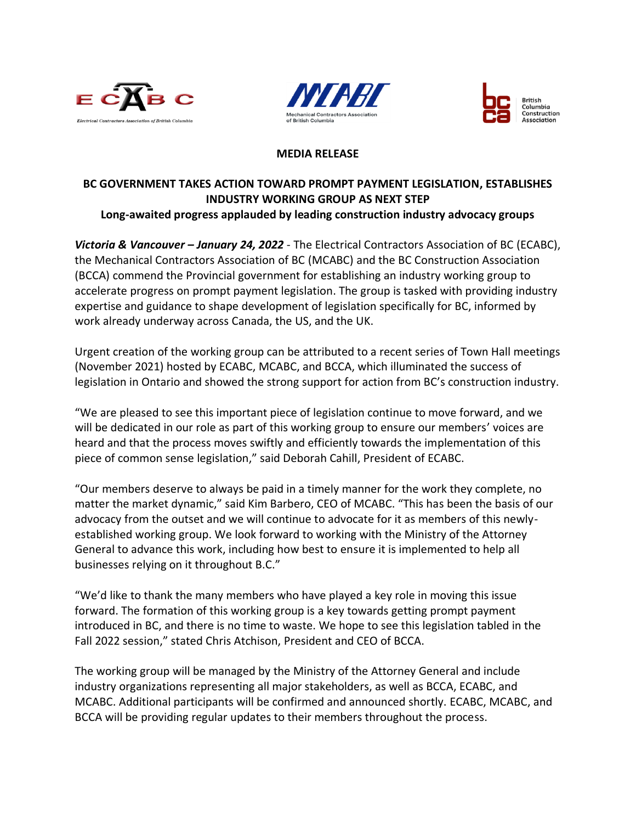





## **MEDIA RELEASE**

## **BC GOVERNMENT TAKES ACTION TOWARD PROMPT PAYMENT LEGISLATION, ESTABLISHES INDUSTRY WORKING GROUP AS NEXT STEP Long-awaited progress applauded by leading construction industry advocacy groups**

*Victoria & Vancouver – January 24, 2022* - The Electrical Contractors Association of BC (ECABC), the Mechanical Contractors Association of BC (MCABC) and the BC Construction Association (BCCA) commend the Provincial government for establishing an industry working group to accelerate progress on prompt payment legislation. The group is tasked with providing industry expertise and guidance to shape development of legislation specifically for BC, informed by work already underway across Canada, the US, and the UK.

Urgent creation of the working group can be attributed to a recent series of Town Hall meetings (November 2021) hosted by ECABC, MCABC, and BCCA, which illuminated the success of legislation in Ontario and showed the strong support for action from BC's construction industry.

"We are pleased to see this important piece of legislation continue to move forward, and we will be dedicated in our role as part of this working group to ensure our members' voices are heard and that the process moves swiftly and efficiently towards the implementation of this piece of common sense legislation," said Deborah Cahill, President of ECABC.

"Our members deserve to always be paid in a timely manner for the work they complete, no matter the market dynamic," said Kim Barbero, CEO of MCABC. "This has been the basis of our advocacy from the outset and we will continue to advocate for it as members of this newlyestablished working group. We look forward to working with the Ministry of the Attorney General to advance this work, including how best to ensure it is implemented to help all businesses relying on it throughout B.C."

"We'd like to thank the many members who have played a key role in moving this issue forward. The formation of this working group is a key towards getting prompt payment introduced in BC, and there is no time to waste. We hope to see this legislation tabled in the Fall 2022 session," stated Chris Atchison, President and CEO of BCCA.

The working group will be managed by the Ministry of the Attorney General and include industry organizations representing all major stakeholders, as well as BCCA, ECABC, and MCABC. Additional participants will be confirmed and announced shortly. ECABC, MCABC, and BCCA will be providing regular updates to their members throughout the process.